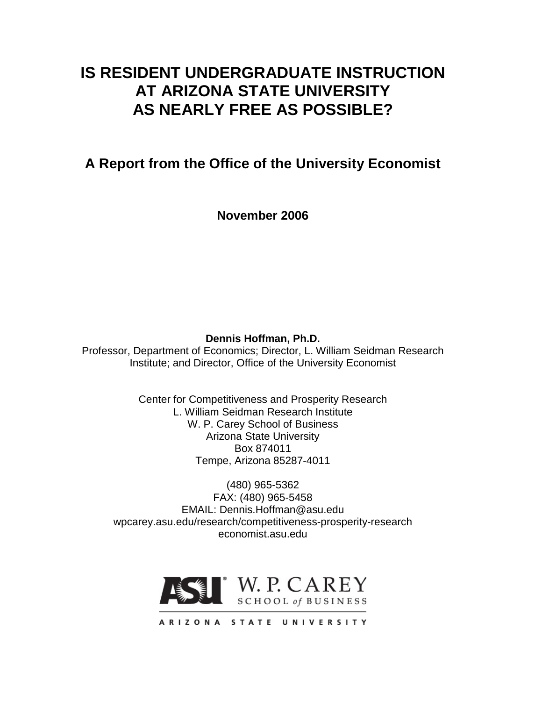# **IS RESIDENT UNDERGRADUATE INSTRUCTION AT ARIZONA STATE UNIVERSITY AS NEARLY FREE AS POSSIBLE?**

# **A Report from the Office of the University Economist**

**November 2006**

**Dennis Hoffman, Ph.D.**

Professor, Department of Economics; Director, L. William Seidman Research Institute; and Director, Office of the University Economist

> Center for Competitiveness and Prosperity Research L. William Seidman Research Institute W. P. Carey School of Business Arizona State University Box 874011 Tempe, Arizona 85287-4011

(480) 965-5362 FAX: (480) 965-5458 EMAIL: Dennis.Hoffman@asu.edu wpcarey.asu.edu/research/competitiveness-prosperity-research economist.asu.edu



ARIZONA STATE UNIVERSITY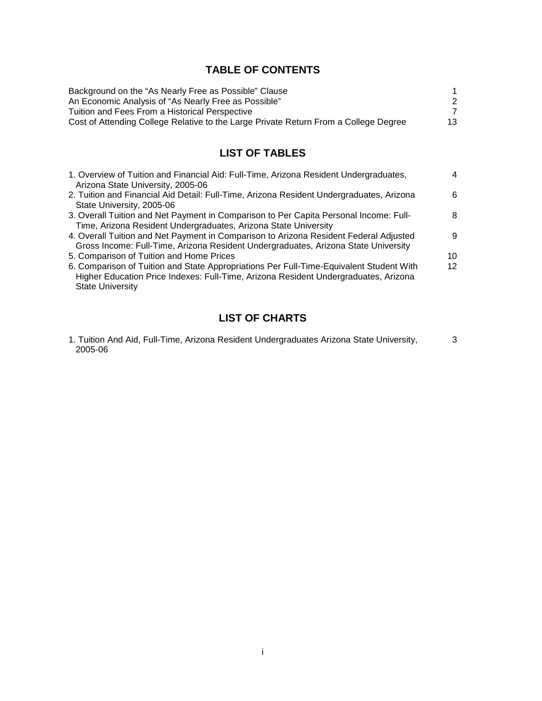## **TABLE OF CONTENTS**

| Background on the "As Nearly Free as Possible" Clause                                |    |
|--------------------------------------------------------------------------------------|----|
| An Economic Analysis of "As Nearly Free as Possible"                                 |    |
| Tuition and Fees From a Historical Perspective                                       |    |
| Cost of Attending College Relative to the Large Private Return From a College Degree | 13 |

# **LIST OF TABLES**

| 1. Overview of Tuition and Financial Aid: Full-Time, Arizona Resident Undergraduates,<br>Arizona State University, 2005-06 | 4               |
|----------------------------------------------------------------------------------------------------------------------------|-----------------|
| 2. Tuition and Financial Aid Detail: Full-Time, Arizona Resident Undergraduates, Arizona                                   | 6               |
| State University, 2005-06                                                                                                  |                 |
| 3. Overall Tuition and Net Payment in Comparison to Per Capita Personal Income: Full-                                      | 8               |
| Time, Arizona Resident Undergraduates, Arizona State University                                                            |                 |
| 4. Overall Tuition and Net Payment in Comparison to Arizona Resident Federal Adjusted                                      | 9               |
| Gross Income: Full-Time, Arizona Resident Undergraduates, Arizona State University                                         |                 |
| 5. Comparison of Tuition and Home Prices                                                                                   | 10 <sup>1</sup> |
| 6. Comparison of Tuition and State Appropriations Per Full-Time-Equivalent Student With                                    | 12              |
|                                                                                                                            |                 |
|                                                                                                                            |                 |
| Higher Education Price Indexes: Full-Time, Arizona Resident Undergraduates, Arizona<br><b>State University</b>             |                 |

# **LIST OF CHARTS**

| 1. Tuition And Aid, Full-Time, Arizona Resident Undergraduates Arizona State University, |  |
|------------------------------------------------------------------------------------------|--|
| 2005-06                                                                                  |  |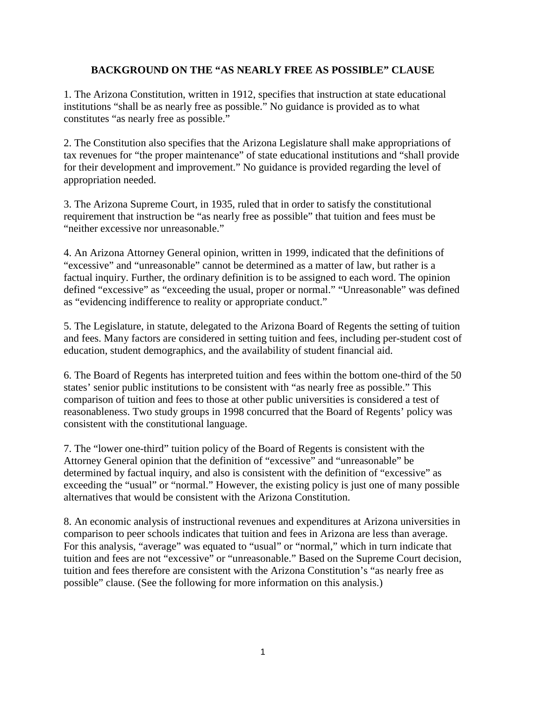#### **BACKGROUND ON THE "AS NEARLY FREE AS POSSIBLE" CLAUSE**

1. The Arizona Constitution, written in 1912, specifies that instruction at state educational institutions "shall be as nearly free as possible." No guidance is provided as to what constitutes "as nearly free as possible."

2. The Constitution also specifies that the Arizona Legislature shall make appropriations of tax revenues for "the proper maintenance" of state educational institutions and "shall provide for their development and improvement." No guidance is provided regarding the level of appropriation needed.

3. The Arizona Supreme Court, in 1935, ruled that in order to satisfy the constitutional requirement that instruction be "as nearly free as possible" that tuition and fees must be "neither excessive nor unreasonable."

4. An Arizona Attorney General opinion, written in 1999, indicated that the definitions of "excessive" and "unreasonable" cannot be determined as a matter of law, but rather is a factual inquiry. Further, the ordinary definition is to be assigned to each word. The opinion defined "excessive" as "exceeding the usual, proper or normal." "Unreasonable" was defined as "evidencing indifference to reality or appropriate conduct."

5. The Legislature, in statute, delegated to the Arizona Board of Regents the setting of tuition and fees. Many factors are considered in setting tuition and fees, including per-student cost of education, student demographics, and the availability of student financial aid.

6. The Board of Regents has interpreted tuition and fees within the bottom one-third of the 50 states' senior public institutions to be consistent with "as nearly free as possible." This comparison of tuition and fees to those at other public universities is considered a test of reasonableness. Two study groups in 1998 concurred that the Board of Regents' policy was consistent with the constitutional language.

7. The "lower one-third" tuition policy of the Board of Regents is consistent with the Attorney General opinion that the definition of "excessive" and "unreasonable" be determined by factual inquiry, and also is consistent with the definition of "excessive" as exceeding the "usual" or "normal." However, the existing policy is just one of many possible alternatives that would be consistent with the Arizona Constitution.

8. An economic analysis of instructional revenues and expenditures at Arizona universities in comparison to peer schools indicates that tuition and fees in Arizona are less than average. For this analysis, "average" was equated to "usual" or "normal," which in turn indicate that tuition and fees are not "excessive" or "unreasonable." Based on the Supreme Court decision, tuition and fees therefore are consistent with the Arizona Constitution's "as nearly free as possible" clause. (See the following for more information on this analysis.)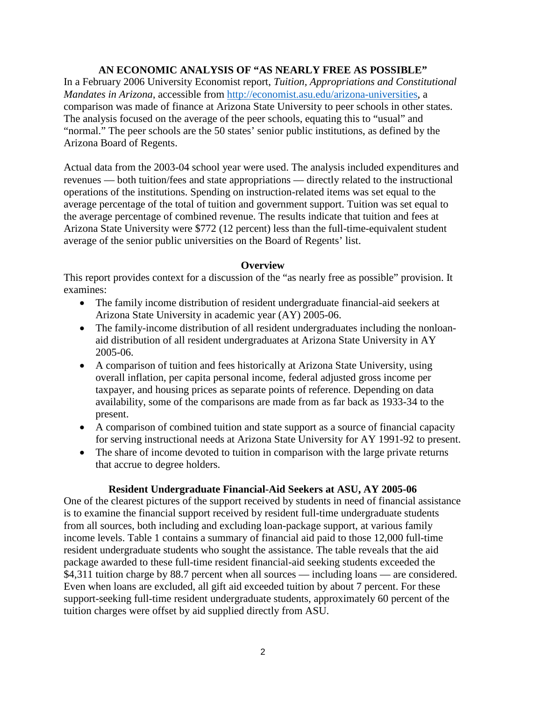#### **AN ECONOMIC ANALYSIS OF "AS NEARLY FREE AS POSSIBLE"**

In a February 2006 University Economist report, *Tuition, Appropriations and Constitutional Mandates in Arizona*, accessible from [http://economist.asu.edu/arizona-universities,](http://economist.asu.edu/arizona-universities) a comparison was made of finance at Arizona State University to peer schools in other states. The analysis focused on the average of the peer schools, equating this to "usual" and "normal." The peer schools are the 50 states' senior public institutions, as defined by the Arizona Board of Regents.

Actual data from the 2003-04 school year were used. The analysis included expenditures and revenues — both tuition/fees and state appropriations — directly related to the instructional operations of the institutions. Spending on instruction-related items was set equal to the average percentage of the total of tuition and government support. Tuition was set equal to the average percentage of combined revenue. The results indicate that tuition and fees at Arizona State University were \$772 (12 percent) less than the full-time-equivalent student average of the senior public universities on the Board of Regents' list.

#### **Overview**

This report provides context for a discussion of the "as nearly free as possible" provision. It examines:

- The family income distribution of resident undergraduate financial-aid seekers at Arizona State University in academic year (AY) 2005-06.
- The family-income distribution of all resident undergraduates including the nonloanaid distribution of all resident undergraduates at Arizona State University in AY 2005-06.
- A comparison of tuition and fees historically at Arizona State University, using overall inflation, per capita personal income, federal adjusted gross income per taxpayer, and housing prices as separate points of reference. Depending on data availability, some of the comparisons are made from as far back as 1933-34 to the present.
- A comparison of combined tuition and state support as a source of financial capacity for serving instructional needs at Arizona State University for AY 1991-92 to present.
- The share of income devoted to tuition in comparison with the large private returns that accrue to degree holders.

#### **Resident Undergraduate Financial-Aid Seekers at ASU, AY 2005-06**

One of the clearest pictures of the support received by students in need of financial assistance is to examine the financial support received by resident full-time undergraduate students from all sources, both including and excluding loan-package support, at various family income levels. Table 1 contains a summary of financial aid paid to those 12,000 full-time resident undergraduate students who sought the assistance. The table reveals that the aid package awarded to these full-time resident financial-aid seeking students exceeded the \$4,311 tuition charge by 88.7 percent when all sources — including loans — are considered. Even when loans are excluded, all gift aid exceeded tuition by about 7 percent. For these support-seeking full-time resident undergraduate students, approximately 60 percent of the tuition charges were offset by aid supplied directly from ASU.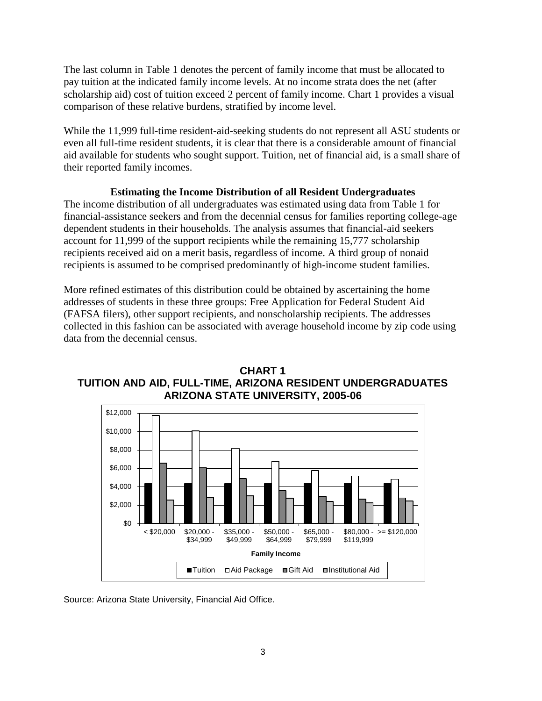The last column in Table 1 denotes the percent of family income that must be allocated to pay tuition at the indicated family income levels. At no income strata does the net (after scholarship aid) cost of tuition exceed 2 percent of family income. Chart 1 provides a visual comparison of these relative burdens, stratified by income level.

While the 11,999 full-time resident-aid-seeking students do not represent all ASU students or even all full-time resident students, it is clear that there is a considerable amount of financial aid available for students who sought support. Tuition, net of financial aid, is a small share of their reported family incomes.

## **Estimating the Income Distribution of all Resident Undergraduates**

The income distribution of all undergraduates was estimated using data from Table 1 for financial-assistance seekers and from the decennial census for families reporting college-age dependent students in their households. The analysis assumes that financial-aid seekers account for 11,999 of the support recipients while the remaining 15,777 scholarship recipients received aid on a merit basis, regardless of income. A third group of nonaid recipients is assumed to be comprised predominantly of high-income student families.

More refined estimates of this distribution could be obtained by ascertaining the home addresses of students in these three groups: Free Application for Federal Student Aid (FAFSA filers), other support recipients, and nonscholarship recipients. The addresses collected in this fashion can be associated with average household income by zip code using data from the decennial census.





Source: Arizona State University, Financial Aid Office.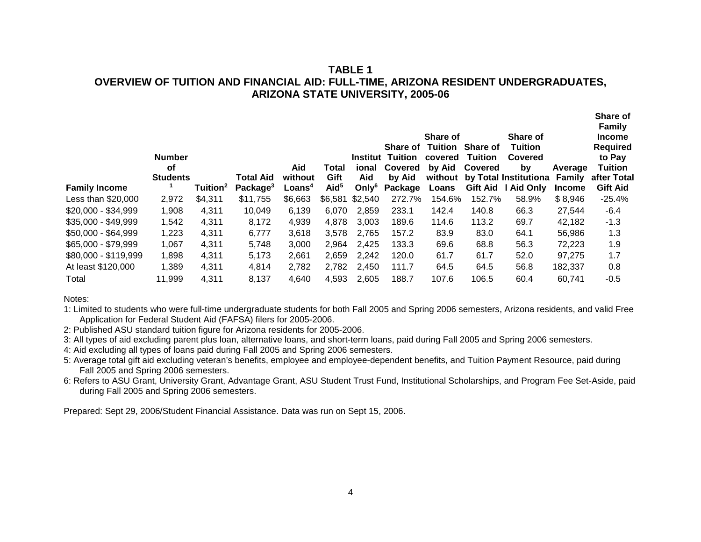#### **TABLE 1 OVERVIEW OF TUITION AND FINANCIAL AID: FULL-TIME, ARIZONA RESIDENT UNDERGRADUATES, ARIZONA STATE UNIVERSITY, 2005-06**

| <b>Family Income</b> | <b>Number</b><br>οf<br><b>Students</b> | Tuition <sup>2</sup> | Total Aid<br>Package <sup>3</sup> | Aid<br>without<br>Loans <sup>4</sup> | Total<br>Gift<br>Aid <sup>5</sup> | ional<br>Aid<br>$On l6$ | <b>Share of Tuition</b><br><b>Institut Tuition</b><br><b>Covered</b><br>by Aid<br>Package | Share of<br>covered<br>by Aid<br>without<br>Loans | <b>Share of</b><br>Tuition<br><b>Covered</b><br><b>Gift Aid</b> | Share of<br><b>Tuition</b><br>Covered<br>bv<br>by Total Institutiona<br><b>Aid Only</b> | Average<br>Family<br><b>Income</b> | Share of<br><b>Family</b><br><b>Income</b><br><b>Required</b><br>to Pay<br>Tuition<br>after Total<br><b>Gift Aid</b> |
|----------------------|----------------------------------------|----------------------|-----------------------------------|--------------------------------------|-----------------------------------|-------------------------|-------------------------------------------------------------------------------------------|---------------------------------------------------|-----------------------------------------------------------------|-----------------------------------------------------------------------------------------|------------------------------------|----------------------------------------------------------------------------------------------------------------------|
| Less than \$20,000   | 2,972                                  | \$4,311              | \$11,755                          | \$6,663                              | \$6,581                           | \$2,540                 | 272.7%                                                                                    | 154.6%                                            | 152.7%                                                          | 58.9%                                                                                   | \$8,946                            | $-25.4%$                                                                                                             |
| \$20,000 - \$34,999  | 1,908                                  | 4,311                | 10,049                            | 6,139                                | 6,070                             | 2,859                   | 233.1                                                                                     | 142.4                                             | 140.8                                                           | 66.3                                                                                    | 27,544                             | $-6.4$                                                                                                               |
| \$35,000 - \$49,999  | 1,542                                  | 4,311                | 8,172                             | 4,939                                | 4,878                             | 3,003                   | 189.6                                                                                     | 114.6                                             | 113.2                                                           | 69.7                                                                                    | 42,182                             | $-1.3$                                                                                                               |
| \$50,000 - \$64,999  | 1,223                                  | 4,311                | 6,777                             | 3,618                                | 3,578                             | 2.765                   | 157.2                                                                                     | 83.9                                              | 83.0                                                            | 64.1                                                                                    | 56,986                             | 1.3                                                                                                                  |
| \$65,000 - \$79,999  | 1,067                                  | 4,311                | 5,748                             | 3,000                                | 2,964                             | 2,425                   | 133.3                                                                                     | 69.6                                              | 68.8                                                            | 56.3                                                                                    | 72,223                             | 1.9                                                                                                                  |
| \$80,000 - \$119,999 | 1,898                                  | 4,311                | 5,173                             | 2,661                                | 2,659                             | 2.242                   | 120.0                                                                                     | 61.7                                              | 61.7                                                            | 52.0                                                                                    | 97.275                             | 1.7                                                                                                                  |
| At least \$120,000   | 1,389                                  | 4,311                | 4,814                             | 2,782                                | 2,782                             | 2,450                   | 111.7                                                                                     | 64.5                                              | 64.5                                                            | 56.8                                                                                    | 182,337                            | 0.8                                                                                                                  |
| Total                | 11,999                                 | 4,311                | 8,137                             | 4,640                                | 4.593                             | 2.605                   | 188.7                                                                                     | 107.6                                             | 106.5                                                           | 60.4                                                                                    | 60,741                             | $-0.5$                                                                                                               |

Notes:

1: Limited to students who were full-time undergraduate students for both Fall 2005 and Spring 2006 semesters, Arizona residents, and valid Free Application for Federal Student Aid (FAFSA) filers for 2005-2006.

- 2: Published ASU standard tuition figure for Arizona residents for 2005-2006.
- 3: All types of aid excluding parent plus loan, alternative loans, and short-term loans, paid during Fall 2005 and Spring 2006 semesters.

4: Aid excluding all types of loans paid during Fall 2005 and Spring 2006 semesters.

5: Average total gift aid excluding veteran's benefits, employee and employee-dependent benefits, and Tuition Payment Resource, paid during Fall 2005 and Spring 2006 semesters.

6: Refers to ASU Grant, University Grant, Advantage Grant, ASU Student Trust Fund, Institutional Scholarships, and Program Fee Set-Aside, paid during Fall 2005 and Spring 2006 semesters.

Prepared: Sept 29, 2006/Student Financial Assistance. Data was run on Sept 15, 2006.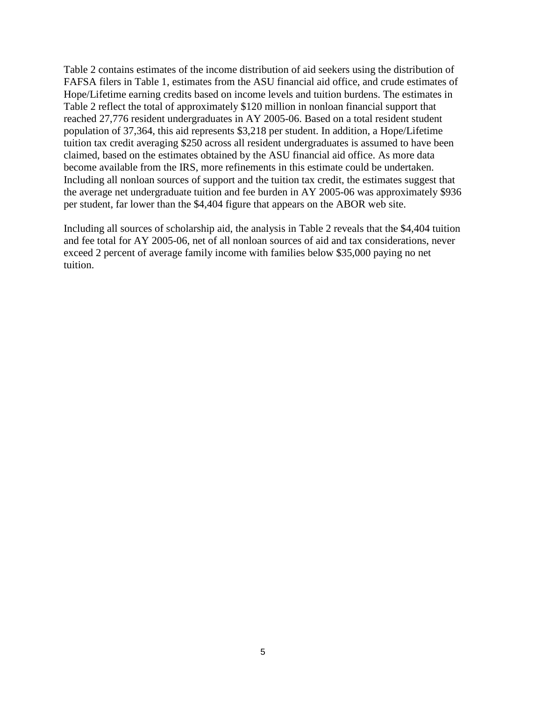Table 2 contains estimates of the income distribution of aid seekers using the distribution of FAFSA filers in Table 1, estimates from the ASU financial aid office, and crude estimates of Hope/Lifetime earning credits based on income levels and tuition burdens. The estimates in Table 2 reflect the total of approximately \$120 million in nonloan financial support that reached 27,776 resident undergraduates in AY 2005-06. Based on a total resident student population of 37,364, this aid represents \$3,218 per student. In addition, a Hope/Lifetime tuition tax credit averaging \$250 across all resident undergraduates is assumed to have been claimed, based on the estimates obtained by the ASU financial aid office. As more data become available from the IRS, more refinements in this estimate could be undertaken. Including all nonloan sources of support and the tuition tax credit, the estimates suggest that the average net undergraduate tuition and fee burden in AY 2005-06 was approximately \$936 per student, far lower than the \$4,404 figure that appears on the ABOR web site.

Including all sources of scholarship aid, the analysis in Table 2 reveals that the \$4,404 tuition and fee total for AY 2005-06, net of all nonloan sources of aid and tax considerations, never exceed 2 percent of average family income with families below \$35,000 paying no net tuition.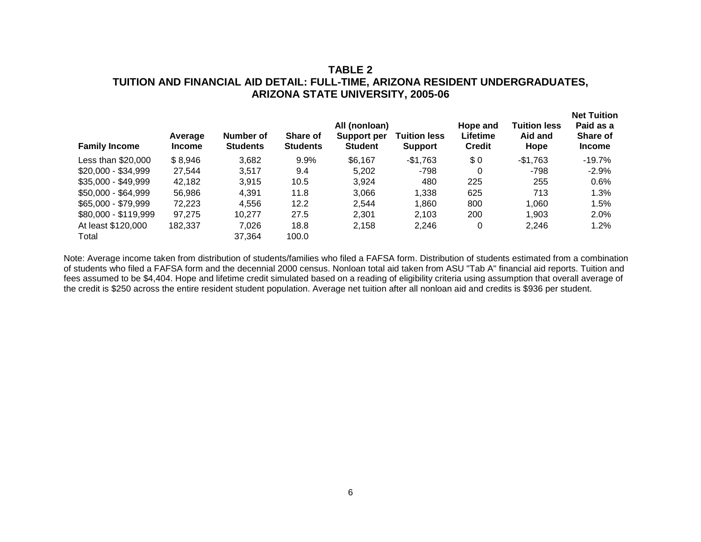## **TABLE 2 TUITION AND FINANCIAL AID DETAIL: FULL-TIME, ARIZONA RESIDENT UNDERGRADUATES, ARIZONA STATE UNIVERSITY, 2005-06**

**Net Tuition** 

|                      |                          |                              |                             | All (nonloan)                 |                                       | Hope and                  | <b>Tuition less</b> | <b>Net Tuition</b><br>Paid as a |  |
|----------------------|--------------------------|------------------------------|-----------------------------|-------------------------------|---------------------------------------|---------------------------|---------------------|---------------------------------|--|
| <b>Family Income</b> | Average<br><b>Income</b> | Number of<br><b>Students</b> | Share of<br><b>Students</b> | Support per<br><b>Student</b> | <b>Tuition less</b><br><b>Support</b> | Lifetime<br><b>Credit</b> | Aid and<br>Hope     | Share of<br><b>Income</b>       |  |
| Less than \$20,000   | \$8,946                  | 3,682                        | 9.9%                        | \$6,167                       | $-$1,763$                             | \$0                       | $-$1,763$           | $-19.7%$                        |  |
| $$20,000 - $34,999$  | 27,544                   | 3.517                        | 9.4                         | 5.202                         | -798                                  | 0                         | -798                | $-2.9%$                         |  |
| $$35,000 - $49,999$  | 42.182                   | 3,915                        | 10.5                        | 3.924                         | 480                                   | 225                       | 255                 | 0.6%                            |  |
| \$50,000 - \$64,999  | 56,986                   | 4.391                        | 11.8                        | 3,066                         | 1,338                                 | 625                       | 713                 | 1.3%                            |  |
| \$65,000 - \$79,999  | 72,223                   | 4,556                        | 12.2                        | 2.544                         | 1.860                                 | 800                       | 1,060               | 1.5%                            |  |
| \$80,000 - \$119,999 | 97.275                   | 10.277                       | 27.5                        | 2.301                         | 2,103                                 | 200                       | 1.903               | 2.0%                            |  |
| At least \$120,000   | 182,337                  | 7,026                        | 18.8                        | 2,158                         | 2,246                                 | 0                         | 2,246               | 1.2%                            |  |
| Total                |                          | 37,364                       | 100.0                       |                               |                                       |                           |                     |                                 |  |

Note: Average income taken from distribution of students/families who filed a FAFSA form. Distribution of students estimated from a combination of students who filed a FAFSA form and the decennial 2000 census. Nonloan total aid taken from ASU "Tab A" financial aid reports. Tuition and fees assumed to be \$4,404. Hope and lifetime credit simulated based on a reading of eligibility criteria using assumption that overall average of the credit is \$250 across the entire resident student population. Average net tuition after all nonloan aid and credits is \$936 per student.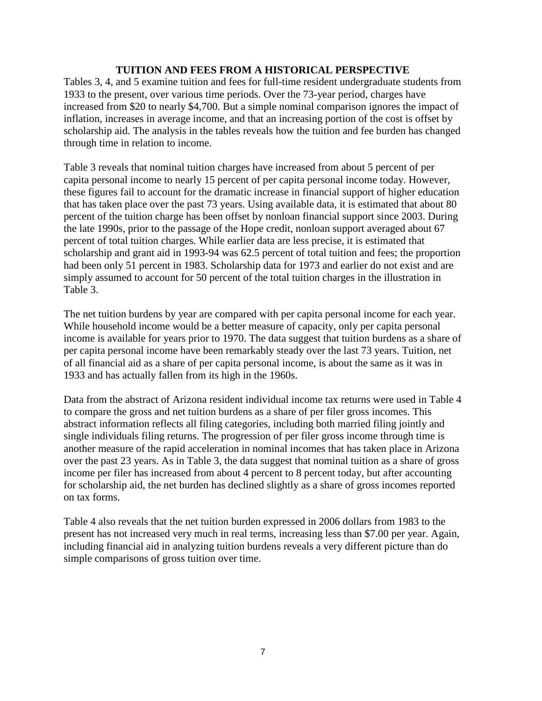#### **TUITION AND FEES FROM A HISTORICAL PERSPECTIVE**

Tables 3, 4, and 5 examine tuition and fees for full-time resident undergraduate students from 1933 to the present, over various time periods. Over the 73-year period, charges have increased from \$20 to nearly \$4,700. But a simple nominal comparison ignores the impact of inflation, increases in average income, and that an increasing portion of the cost is offset by scholarship aid. The analysis in the tables reveals how the tuition and fee burden has changed through time in relation to income.

Table 3 reveals that nominal tuition charges have increased from about 5 percent of per capita personal income to nearly 15 percent of per capita personal income today. However, these figures fail to account for the dramatic increase in financial support of higher education that has taken place over the past 73 years. Using available data, it is estimated that about 80 percent of the tuition charge has been offset by nonloan financial support since 2003. During the late 1990s, prior to the passage of the Hope credit, nonloan support averaged about 67 percent of total tuition charges. While earlier data are less precise, it is estimated that scholarship and grant aid in 1993-94 was 62.5 percent of total tuition and fees; the proportion had been only 51 percent in 1983. Scholarship data for 1973 and earlier do not exist and are simply assumed to account for 50 percent of the total tuition charges in the illustration in Table 3.

The net tuition burdens by year are compared with per capita personal income for each year. While household income would be a better measure of capacity, only per capita personal income is available for years prior to 1970. The data suggest that tuition burdens as a share of per capita personal income have been remarkably steady over the last 73 years. Tuition, net of all financial aid as a share of per capita personal income, is about the same as it was in 1933 and has actually fallen from its high in the 1960s.

Data from the abstract of Arizona resident individual income tax returns were used in Table 4 to compare the gross and net tuition burdens as a share of per filer gross incomes. This abstract information reflects all filing categories, including both married filing jointly and single individuals filing returns. The progression of per filer gross income through time is another measure of the rapid acceleration in nominal incomes that has taken place in Arizona over the past 23 years. As in Table 3, the data suggest that nominal tuition as a share of gross income per filer has increased from about 4 percent to 8 percent today, but after accounting for scholarship aid, the net burden has declined slightly as a share of gross incomes reported on tax forms.

Table 4 also reveals that the net tuition burden expressed in 2006 dollars from 1983 to the present has not increased very much in real terms, increasing less than \$7.00 per year. Again, including financial aid in analyzing tuition burdens reveals a very different picture than do simple comparisons of gross tuition over time.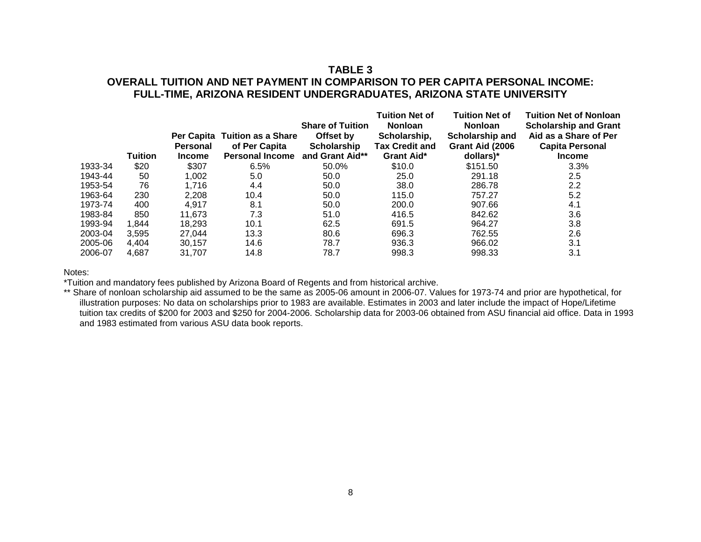### **TABLE 3 OVERALL TUITION AND NET PAYMENT IN COMPARISON TO PER CAPITA PERSONAL INCOME: FULL-TIME, ARIZONA RESIDENT UNDERGRADUATES, ARIZONA STATE UNIVERSITY**

| <b>Tuition</b> | <b>Personal</b><br><b>Income</b> | of Per Capita<br><b>Personal Income</b> | <b>Share of Tuition</b><br>Offset by<br>Scholarship<br>and Grant Aid** | <b>Tuition Net of</b><br>Nonloan<br>Scholarship,<br><b>Tax Credit and</b><br><b>Grant Aid*</b> | <b>Tuition Net of</b><br><b>Nonloan</b><br>Scholarship and<br>Grant Aid (2006)<br>dollars)* | <b>Tuition Net of Nonloan</b><br><b>Scholarship and Grant</b><br>Aid as a Share of Per<br>Capita Personal<br><b>Income</b> |
|----------------|----------------------------------|-----------------------------------------|------------------------------------------------------------------------|------------------------------------------------------------------------------------------------|---------------------------------------------------------------------------------------------|----------------------------------------------------------------------------------------------------------------------------|
| \$20           | \$307                            | 6.5%                                    | 50.0%                                                                  | \$10.0                                                                                         | \$151.50                                                                                    | 3.3%                                                                                                                       |
| 50             | 1.002                            | 5.0                                     | 50.0                                                                   | 25.0                                                                                           | 291.18                                                                                      | 2.5                                                                                                                        |
| 76             | 1.716                            | 4.4                                     | 50.0                                                                   | 38.0                                                                                           | 286.78                                                                                      | 2.2                                                                                                                        |
| 230            | 2,208                            | 10.4                                    | 50.0                                                                   | 115.0                                                                                          | 757.27                                                                                      | 5.2                                                                                                                        |
| 400            | 4.917                            | 8.1                                     | 50.0                                                                   | 200.0                                                                                          | 907.66                                                                                      | 4.1                                                                                                                        |
| 850            | 11.673                           | 7.3                                     | 51.0                                                                   | 416.5                                                                                          | 842.62                                                                                      | 3.6                                                                                                                        |
| 1.844          | 18.293                           | 10.1                                    | 62.5                                                                   | 691.5                                                                                          | 964.27                                                                                      | 3.8                                                                                                                        |
| 3.595          | 27.044                           | 13.3                                    | 80.6                                                                   | 696.3                                                                                          | 762.55                                                                                      | 2.6                                                                                                                        |
| 4.404          | 30.157                           | 14.6                                    | 78.7                                                                   | 936.3                                                                                          | 966.02                                                                                      | 3.1                                                                                                                        |
| 4.687          | 31.707                           | 14.8                                    | 78.7                                                                   | 998.3                                                                                          | 998.33                                                                                      | 3.1                                                                                                                        |
|                |                                  |                                         |                                                                        | Per Capita Tuition as a Share                                                                  |                                                                                             |                                                                                                                            |

#### Notes:

\*Tuition and mandatory fees published by Arizona Board of Regents and from historical archive.

\*\* Share of nonloan scholarship aid assumed to be the same as 2005-06 amount in 2006-07. Values for 1973-74 and prior are hypothetical, for illustration purposes: No data on scholarships prior to 1983 are available. Estimates in 2003 and later include the impact of Hope/Lifetime tuition tax credits of \$200 for 2003 and \$250 for 2004-2006. Scholarship data for 2003-06 obtained from ASU financial aid office. Data in 1993 and 1983 estimated from various ASU data book reports.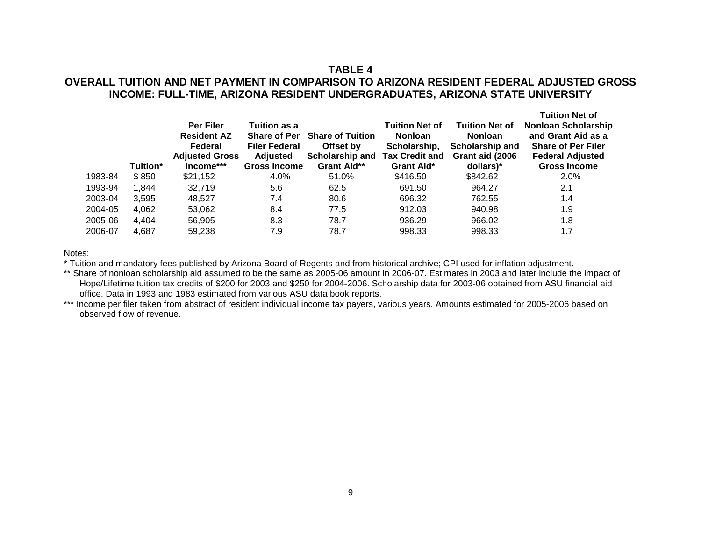## **TABLE 4**

## **OVERALL TUITION AND NET PAYMENT IN COMPARISON TO ARIZONA RESIDENT FEDERAL ADJUSTED GROSS INCOME: FULL-TIME, ARIZONA RESIDENT UNDERGRADUATES, ARIZONA STATE UNIVERSITY**

|         | Tuition* | Per Filer<br><b>Resident AZ</b><br>Federal<br><b>Adjusted Gross</b><br>Income*** | Tuition as a<br><b>Share of Per</b><br><b>Filer Federal</b><br><b>Adjusted</b><br><b>Gross Income</b> | <b>Share of Tuition</b><br>Offset by<br>Scholarship and<br>Grant Aid** | <b>Tuition Net of</b><br><b>Nonloan</b><br>Scholarship,<br><b>Tax Credit and</b><br><b>Grant Aid*</b> | <b>Tuition Net of</b><br><b>Nonloan</b><br>Scholarship and<br>Grant aid (2006<br>dollars)* | <b>Tuition Net of</b><br><b>Nonloan Scholarship</b><br>and Grant Aid as a<br><b>Share of Per Filer</b><br><b>Federal Adjusted</b><br><b>Gross Income</b> |
|---------|----------|----------------------------------------------------------------------------------|-------------------------------------------------------------------------------------------------------|------------------------------------------------------------------------|-------------------------------------------------------------------------------------------------------|--------------------------------------------------------------------------------------------|----------------------------------------------------------------------------------------------------------------------------------------------------------|
| 1983-84 | \$850    | \$21,152                                                                         | 4.0%                                                                                                  | 51.0%                                                                  | \$416.50                                                                                              | \$842.62                                                                                   | 2.0%                                                                                                                                                     |
| 1993-94 | 1,844    | 32,719                                                                           | 5.6                                                                                                   | 62.5                                                                   | 691.50                                                                                                | 964.27                                                                                     | 2.1                                                                                                                                                      |
| 2003-04 | 3,595    | 48,527                                                                           | 7.4                                                                                                   | 80.6                                                                   | 696.32                                                                                                | 762.55                                                                                     | 1.4                                                                                                                                                      |
| 2004-05 | 4,062    | 53,062                                                                           | 8.4                                                                                                   | 77.5                                                                   | 912.03                                                                                                | 940.98                                                                                     | 1.9                                                                                                                                                      |
| 2005-06 | 4.404    | 56,905                                                                           | 8.3                                                                                                   | 78.7                                                                   | 936.29                                                                                                | 966.02                                                                                     | 1.8                                                                                                                                                      |
| 2006-07 | 4,687    | 59,238                                                                           | 7.9                                                                                                   | 78.7                                                                   | 998.33                                                                                                | 998.33                                                                                     | 1.7                                                                                                                                                      |

Notes:

\* Tuition and mandatory fees published by Arizona Board of Regents and from historical archive; CPI used for inflation adjustment.

\*\* Share of nonloan scholarship aid assumed to be the same as 2005-06 amount in 2006-07. Estimates in 2003 and later include the impact of Hope/Lifetime tuition tax credits of \$200 for 2003 and \$250 for 2004-2006. Scholarship data for 2003-06 obtained from ASU financial aid office. Data in 1993 and 1983 estimated from various ASU data book reports.

\*\*\* Income per filer taken from abstract of resident individual income tax payers, various years. Amounts estimated for 2005-2006 based on observed flow of revenue.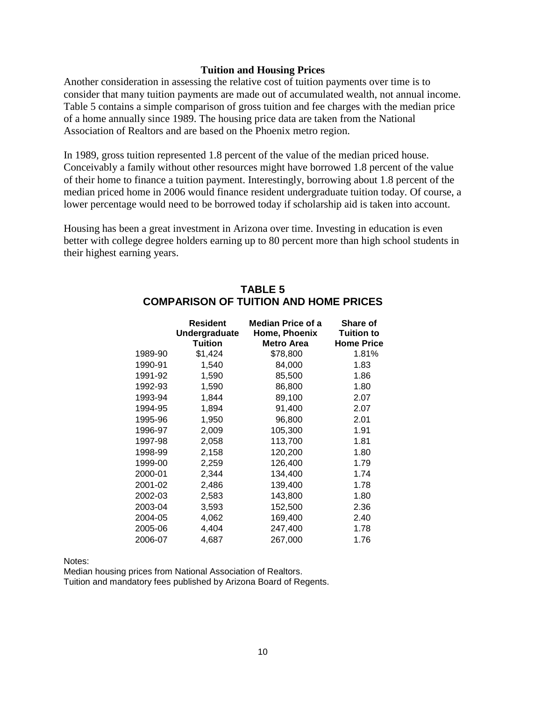#### **Tuition and Housing Prices**

Another consideration in assessing the relative cost of tuition payments over time is to consider that many tuition payments are made out of accumulated wealth, not annual income. Table 5 contains a simple comparison of gross tuition and fee charges with the median price of a home annually since 1989. The housing price data are taken from the National Association of Realtors and are based on the Phoenix metro region.

In 1989, gross tuition represented 1.8 percent of the value of the median priced house. Conceivably a family without other resources might have borrowed 1.8 percent of the value of their home to finance a tuition payment. Interestingly, borrowing about 1.8 percent of the median priced home in 2006 would finance resident undergraduate tuition today. Of course, a lower percentage would need to be borrowed today if scholarship aid is taken into account.

Housing has been a great investment in Arizona over time. Investing in education is even better with college degree holders earning up to 80 percent more than high school students in their highest earning years.

|         | <b>Resident</b><br>Undergraduate | <b>Median Price of a</b><br>Home, Phoenix | <b>Share of</b><br><b>Tuition to</b> |
|---------|----------------------------------|-------------------------------------------|--------------------------------------|
|         | <b>Tuition</b>                   | Metro Area                                | <b>Home Price</b>                    |
| 1989-90 | \$1,424                          | \$78,800                                  | 1.81%                                |
| 1990-91 | 1,540                            | 84,000                                    | 1.83                                 |
| 1991-92 | 1,590                            | 85,500                                    | 1.86                                 |
| 1992-93 | 1,590                            | 86,800                                    | 1.80                                 |
| 1993-94 | 1,844                            | 89,100                                    | 2.07                                 |
| 1994-95 | 1,894                            | 91,400                                    | 2.07                                 |
| 1995-96 | 1,950                            | 96,800                                    | 2.01                                 |
| 1996-97 | 2,009                            | 105,300                                   | 1.91                                 |
| 1997-98 | 2,058                            | 113,700                                   | 1.81                                 |
| 1998-99 | 2,158                            | 120,200                                   | 1.80                                 |
| 1999-00 | 2,259                            | 126,400                                   | 1.79                                 |
| 2000-01 | 2,344                            | 134,400                                   | 1.74                                 |
| 2001-02 | 2,486                            | 139,400                                   | 1.78                                 |
| 2002-03 | 2,583                            | 143,800                                   | 1.80                                 |
| 2003-04 | 3,593                            | 152,500                                   | 2.36                                 |
| 2004-05 | 4,062                            | 169,400                                   | 2.40                                 |
| 2005-06 | 4,404                            | 247,400                                   | 1.78                                 |
| 2006-07 | 4,687                            | 267,000                                   | 1.76                                 |

## **TABLE 5 COMPARISON OF TUITION AND HOME PRICES**

Notes:

Median housing prices from National Association of Realtors.

Tuition and mandatory fees published by Arizona Board of Regents.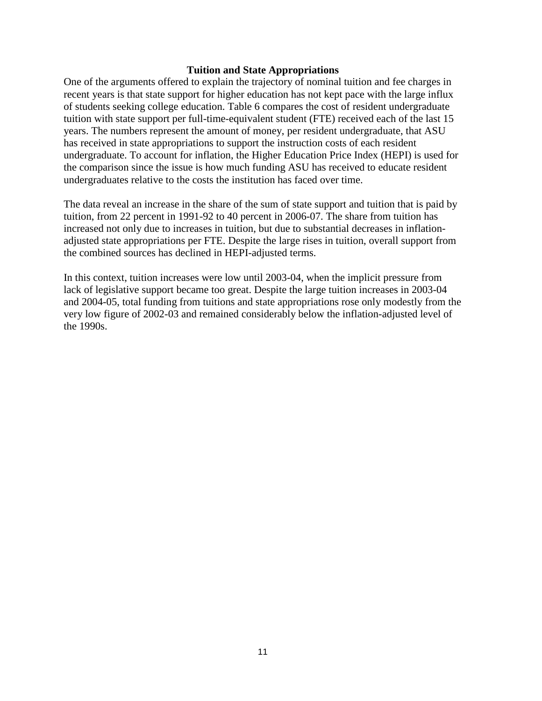#### **Tuition and State Appropriations**

One of the arguments offered to explain the trajectory of nominal tuition and fee charges in recent years is that state support for higher education has not kept pace with the large influx of students seeking college education. Table 6 compares the cost of resident undergraduate tuition with state support per full-time-equivalent student (FTE) received each of the last 15 years. The numbers represent the amount of money, per resident undergraduate, that ASU has received in state appropriations to support the instruction costs of each resident undergraduate. To account for inflation, the Higher Education Price Index (HEPI) is used for the comparison since the issue is how much funding ASU has received to educate resident undergraduates relative to the costs the institution has faced over time.

The data reveal an increase in the share of the sum of state support and tuition that is paid by tuition, from 22 percent in 1991-92 to 40 percent in 2006-07. The share from tuition has increased not only due to increases in tuition, but due to substantial decreases in inflationadjusted state appropriations per FTE. Despite the large rises in tuition, overall support from the combined sources has declined in HEPI-adjusted terms.

In this context, tuition increases were low until 2003-04, when the implicit pressure from lack of legislative support became too great. Despite the large tuition increases in 2003-04 and 2004-05, total funding from tuitions and state appropriations rose only modestly from the very low figure of 2002-03 and remained considerably below the inflation-adjusted level of the 1990s.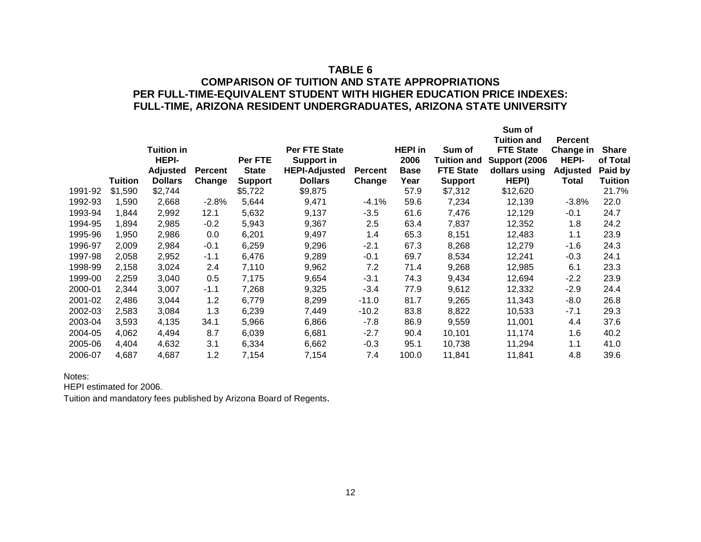#### **TABLE 6 COMPARISON OF TUITION AND STATE APPROPRIATIONS PER FULL-TIME-EQUIVALENT STUDENT WITH HIGHER EDUCATION PRICE INDEXES: FULL-TIME, ARIZONA RESIDENT UNDERGRADUATES, ARIZONA STATE UNIVERSITY**

|         | <b>Tuition</b> | <b>Tuition in</b><br><b>HEPI-</b><br><b>Adjusted</b><br><b>Dollars</b> | <b>Percent</b><br>Change | Per FTE<br><b>State</b><br><b>Support</b> | Per FTE State<br>Support in<br><b>HEPI-Adjusted</b><br><b>Dollars</b> | <b>Percent</b><br>Change | <b>HEPI</b> in<br>2006<br><b>Base</b><br>Year | Sum of<br><b>Tuition and</b><br><b>FTE State</b><br><b>Support</b> | Sum of<br><b>Tuition and</b><br><b>FTE State</b><br>Support (2006)<br>dollars using<br>HEPI) | <b>Percent</b><br>Change in<br><b>HEPI-</b><br><b>Adjusted</b><br>Total | <b>Share</b><br>of Total<br>Paid by<br>Tuition |
|---------|----------------|------------------------------------------------------------------------|--------------------------|-------------------------------------------|-----------------------------------------------------------------------|--------------------------|-----------------------------------------------|--------------------------------------------------------------------|----------------------------------------------------------------------------------------------|-------------------------------------------------------------------------|------------------------------------------------|
| 1991-92 | \$1,590        | \$2,744                                                                |                          | \$5,722                                   | \$9,875                                                               |                          | 57.9                                          | \$7,312                                                            | \$12,620                                                                                     |                                                                         | 21.7%                                          |
| 1992-93 | 1,590          | 2,668                                                                  | $-2.8%$                  | 5,644                                     | 9,471                                                                 | $-4.1\%$                 | 59.6                                          | 7,234                                                              | 12,139                                                                                       | $-3.8%$                                                                 | 22.0                                           |
| 1993-94 | 1,844          | 2,992                                                                  | 12.1                     | 5,632                                     | 9,137                                                                 | $-3.5$                   | 61.6                                          | 7,476                                                              | 12,129                                                                                       | $-0.1$                                                                  | 24.7                                           |
| 1994-95 | 1,894          | 2,985                                                                  | $-0.2$                   | 5,943                                     | 9,367                                                                 | 2.5                      | 63.4                                          | 7,837                                                              | 12,352                                                                                       | 1.8                                                                     | 24.2                                           |
| 1995-96 | 1,950          | 2,986                                                                  | 0.0                      | 6,201                                     | 9,497                                                                 | 1.4                      | 65.3                                          | 8,151                                                              | 12,483                                                                                       | 1.1                                                                     | 23.9                                           |
| 1996-97 | 2,009          | 2,984                                                                  | $-0.1$                   | 6,259                                     | 9,296                                                                 | $-2.1$                   | 67.3                                          | 8,268                                                              | 12,279                                                                                       | $-1.6$                                                                  | 24.3                                           |
| 1997-98 | 2,058          | 2,952                                                                  | $-1.1$                   | 6,476                                     | 9,289                                                                 | $-0.1$                   | 69.7                                          | 8,534                                                              | 12,241                                                                                       | $-0.3$                                                                  | 24.1                                           |
| 1998-99 | 2,158          | 3,024                                                                  | 2.4                      | 7,110                                     | 9,962                                                                 | 7.2                      | 71.4                                          | 9,268                                                              | 12,985                                                                                       | 6.1                                                                     | 23.3                                           |
| 1999-00 | 2,259          | 3,040                                                                  | 0.5                      | 7,175                                     | 9,654                                                                 | $-3.1$                   | 74.3                                          | 9,434                                                              | 12,694                                                                                       | $-2.2$                                                                  | 23.9                                           |
| 2000-01 | 2,344          | 3,007                                                                  | $-1.1$                   | 7,268                                     | 9,325                                                                 | $-3.4$                   | 77.9                                          | 9,612                                                              | 12,332                                                                                       | $-2.9$                                                                  | 24.4                                           |
| 2001-02 | 2,486          | 3,044                                                                  | 1.2                      | 6,779                                     | 8,299                                                                 | $-11.0$                  | 81.7                                          | 9,265                                                              | 11,343                                                                                       | $-8.0$                                                                  | 26.8                                           |
| 2002-03 | 2,583          | 3,084                                                                  | 1.3                      | 6,239                                     | 7,449                                                                 | $-10.2$                  | 83.8                                          | 8,822                                                              | 10,533                                                                                       | $-7.1$                                                                  | 29.3                                           |
| 2003-04 | 3,593          | 4,135                                                                  | 34.1                     | 5,966                                     | 6,866                                                                 | -7.8                     | 86.9                                          | 9,559                                                              | 11,001                                                                                       | 4.4                                                                     | 37.6                                           |
| 2004-05 | 4,062          | 4,494                                                                  | 8.7                      | 6,039                                     | 6,681                                                                 | $-2.7$                   | 90.4                                          | 10,101                                                             | 11,174                                                                                       | 1.6                                                                     | 40.2                                           |
| 2005-06 | 4,404          | 4,632                                                                  | 3.1                      | 6,334                                     | 6,662                                                                 | $-0.3$                   | 95.1                                          | 10,738                                                             | 11,294                                                                                       | 1.1                                                                     | 41.0                                           |
| 2006-07 | 4,687          | 4,687                                                                  | 1.2                      | 7,154                                     | 7,154                                                                 | 7.4                      | 100.0                                         | 11,841                                                             | 11,841                                                                                       | 4.8                                                                     | 39.6                                           |

Notes:

HEPI estimated for 2006.

Tuition and mandatory fees published by Arizona Board of Regents.